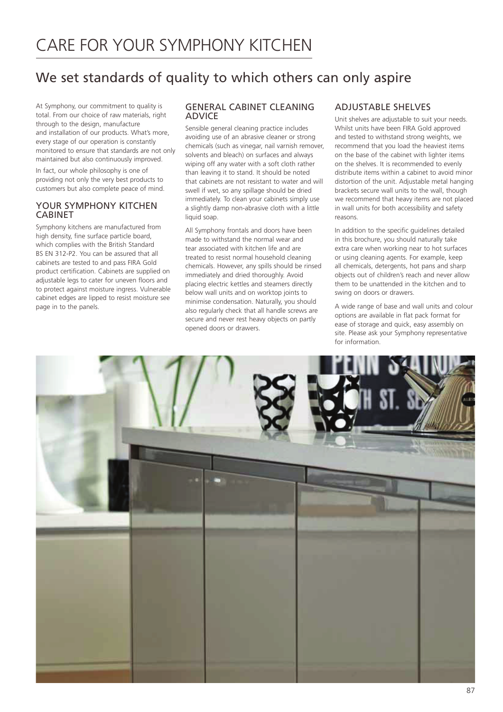# We set standards of quality to which others can only aspire

At Symphony, our commitment to quality is total. From our choice of raw materials, right through to the design, manufacture and installation of our products. What's more, every stage of our operation is constantly monitored to ensure that standards are not only maintained but also continuously improved.

In fact, our whole philosophy is one of providing not only the very best products to customers but also complete peace of mind.

# YOUR SYMPHONY KITCHEN CABINET

Symphony kitchens are manufactured from high density, fine surface particle board, which complies with the British Standard BS EN 312-P2. You can be assured that all cabinets are tested to and pass FIRA Gold product certification. Cabinets are supplied on adjustable legs to cater for uneven floors and to protect against moisture ingress. Vulnerable cabinet edges are lipped to resist moisture see page in to the panels.

# GENERAL CABINET CLEANING ADVICE

Sensible general cleaning practice includes avoiding use of an abrasive cleaner or strong chemicals (such as vinegar, nail varnish remover, solvents and bleach) on surfaces and always wiping off any water with a soft cloth rather than leaving it to stand. It should be noted that cabinets are not resistant to water and will swell if wet, so any spillage should be dried immediately. To clean your cabinets simply use a slightly damp non-abrasive cloth with a little liquid soap.

All Symphony frontals and doors have been made to withstand the normal wear and tear associated with kitchen life and are treated to resist normal household cleaning chemicals. However, any spills should be rinsed immediately and dried thoroughly. Avoid placing electric kettles and steamers directly below wall units and on worktop joints to minimise condensation. Naturally, you should also regularly check that all handle screws are secure and never rest heavy objects on partly opened doors or drawers.

# ADJUSTABLE SHELVES

Unit shelves are adjustable to suit your needs. Whilst units have been FIRA Gold approved and tested to withstand strong weights, we recommend that you load the heaviest items on the base of the cabinet with lighter items on the shelves. It is recommended to evenly distribute items within a cabinet to avoid minor distortion of the unit. Adjustable metal hanging brackets secure wall units to the wall, though we recommend that heavy items are not placed in wall units for both accessibility and safety reasons.

In addition to the specific guidelines detailed in this brochure, you should naturally take extra care when working near to hot surfaces or using cleaning agents. For example, keep all chemicals, detergents, hot pans and sharp objects out of children's reach and never allow them to be unattended in the kitchen and to swing on doors or drawers.

A wide range of base and wall units and colour options are available in flat pack format for ease of storage and quick, easy assembly on site. Please ask your Symphony representative for information.

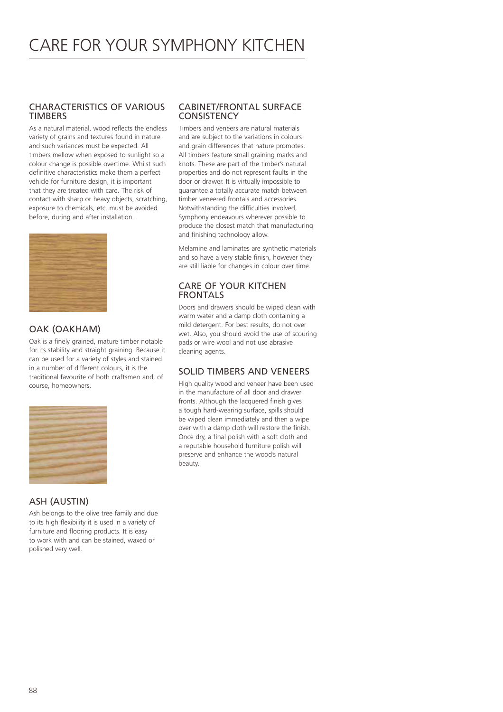## CHARACTERISTICS OF VARIOUS TIMBERS

As a natural material, wood reflects the endless variety of grains and textures found in nature and such variances must be expected. All timbers mellow when exposed to sunlight so a colour change is possible overtime. Whilst such definitive characteristics make them a perfect vehicle for furniture design, it is important that they are treated with care. The risk of contact with sharp or heavy objects, scratching, exposure to chemicals, etc. must be avoided before, during and after installation.



# OAK (OAKHAM)

Oak is a finely grained, mature timber notable for its stability and straight graining. Because it can be used for a variety of styles and stained in a number of different colours, it is the traditional favourite of both craftsmen and, of course, homeowners.



# ASH (AUSTIN)

Ash belongs to the olive tree family and due to its high flexibility it is used in a variety of furniture and flooring products. It is easy to work with and can be stained, waxed or polished very well.

## CABINET/FRONTAL SURFACE **CONSISTENCY**

Timbers and veneers are natural materials and are subject to the variations in colours and grain differences that nature promotes. All timbers feature small graining marks and knots. These are part of the timber's natural properties and do not represent faults in the door or drawer. It is virtually impossible to guarantee a totally accurate match between timber veneered frontals and accessories. Notwithstanding the difficulties involved, Symphony endeavours wherever possible to produce the closest match that manufacturing and finishing technology allow.

Melamine and laminates are synthetic materials and so have a very stable finish, however they are still liable for changes in colour over time.

# CARE OF YOUR KITCHEN **FRONTALS**

Doors and drawers should be wiped clean with warm water and a damp cloth containing a mild detergent. For best results, do not over wet. Also, you should avoid the use of scouring pads or wire wool and not use abrasive cleaning agents.

# SOLID TIMBERS AND VENEERS

High quality wood and veneer have been used in the manufacture of all door and drawer fronts. Although the lacquered finish gives a tough hard-wearing surface, spills should be wiped clean immediately and then a wipe over with a damp cloth will restore the finish. Once dry, a final polish with a soft cloth and a reputable household furniture polish will preserve and enhance the wood's natural beauty.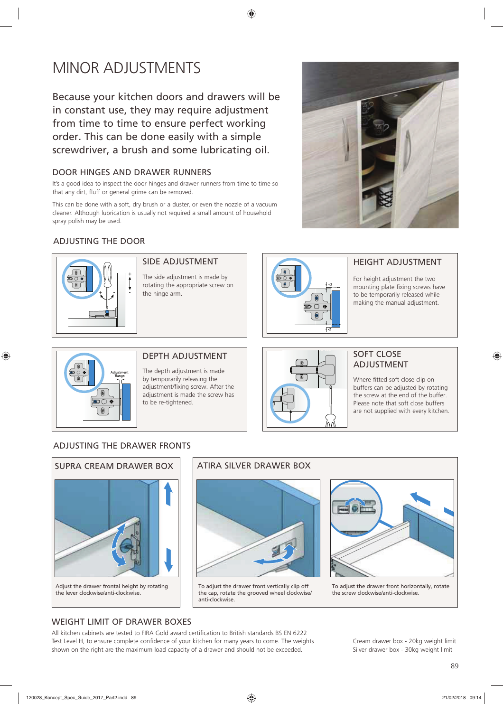# MINOR ADJUSTMENTS

Because your kitchen doors and drawers will be in constant use, they may require adjustment from time to time to ensure perfect working order. This can be done easily with a simple screwdriver, a brush and some lubricating oil.

## DOOR HINGES AND DRAWER RUNNERS

It's a good idea to inspect the door hinges and drawer runners from time to time so that any dirt, fluff or general grime can be removed.

This can be done with a soft, dry brush or a duster, or even the nozzle of a vacuum cleaner. Although lubrication is usually not required a small amount of household spray polish may be used.

# ADJUSTING THE DOOR



#### SIDE ADJUSTMENT

The side adjustment is made by rotating the appropriate screw on the hinge arm.



### HEIGHT ADJUSTMENT

For height adjustment the two mounting plate fixing screws have to be temporarily released while making the manual adjustment.

SOFT CLOSE ADJUSTMENT

Where fitted soft close clip on buffers can be adjusted by rotating the screw at the end of the buffer. Please note that soft close buffers are not supplied with every kitchen.



 $\bigcirc$ 

#### DEPTH ADJUSTMENT

The depth adjustment is made by temporarily releasing the adjustment/fixing screw. After the adjustment is made the screw has to be re-tightened.

# ADJUSTING THE DRAWER FRONTS



Adjust the drawer frontal height by rotating the lever clockwise/anti-clockwise.

♠



To adjust the drawer front vertically clip off the cap, rotate the grooved wheel clockwise/ anti-clockwise.



To adjust the drawer front horizontally, rotate the screw clockwise/anti-clockwise.

#### WEIGHT LIMIT OF DRAWER BOXES

All kitchen cabinets are tested to FIRA Gold award certification to British standards BS EN 6222 Test Level H, to ensure complete confidence of your kitchen for many years to come. The weights shown on the right are the maximum load capacity of a drawer and should not be exceeded.

Cream drawer box - 20kg weight limit Silver drawer box - 30kg weight limit

◈

120028\_Koncept\_Spec\_Guide\_2017\_Part2.indd 89 21/02/2018 09:14